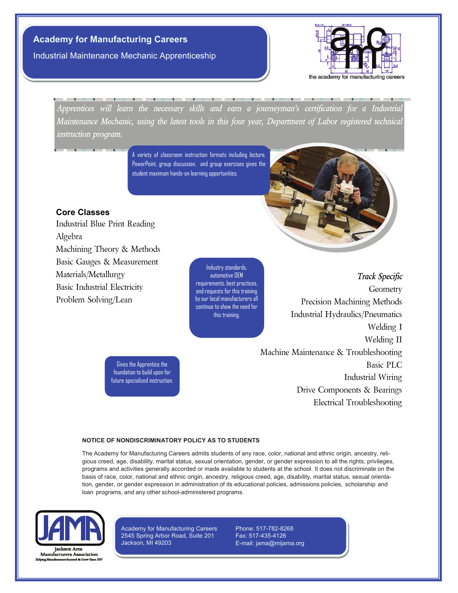

*Apprentices will learn the necessary skills and earn a journeyman's certification for a Industrial Maintenance Mechanic, using the latest tools in this four year, Department of Labor registered technical instruction program.*

> A variety of classroom instruction formats including lecture, PowerPoint, group discussion, and group exercises gives the student maximum hands-on learning opportunities.

## **Core Classes**

Industrial Blue Print Reading Algebra Machining Theory & Methods Basic Gauges & Measurement Materials/Metallurgy Basic Industrial Electricity Problem Solving/Lean

Industry standards, automotive OEM requirements, best practices, and requests for this training by our local manufacturers all continue to show the need for this training.

*Track Specific* Geometry Precision Machining Methods Industrial Hydraulics/Pneumatics Welding I Welding II Machine Maintenance & Troubleshooting Basic PLC Industrial Wiring Drive Components & Bearings Electrical Troubleshooting

# **NOTICE OF NONDISCRIMINATORY POLICY AS TO STUDENTS**

Gives the Apprentice the foundation to build upon for future specialized instruction.

The Academy for Manufacturing Careers admits students of any race, color, national and ethnic origin, ancestry, religious creed, age, disability, marital status, sexual orientation, gender, or gender expression to all the rights, privileges, programs and activities generally accorded or made available to students at the school. It does not discriminate on the basis of race, color, national and ethnic origin, ancestry, religious creed, age, disability, marital status, sexual orientation, gender, or gender expression in administration of its educational policies, admissions policies, scholarship and loan programs, and any other school-administered programs.



Academy for Manufacturing Careers 2545 Spring Arbor Road, Suite 201 Jackson, MI 49203

Phone: 517-782-8268 Fax: 517-435-4126 E-mail: jama@mijama.org